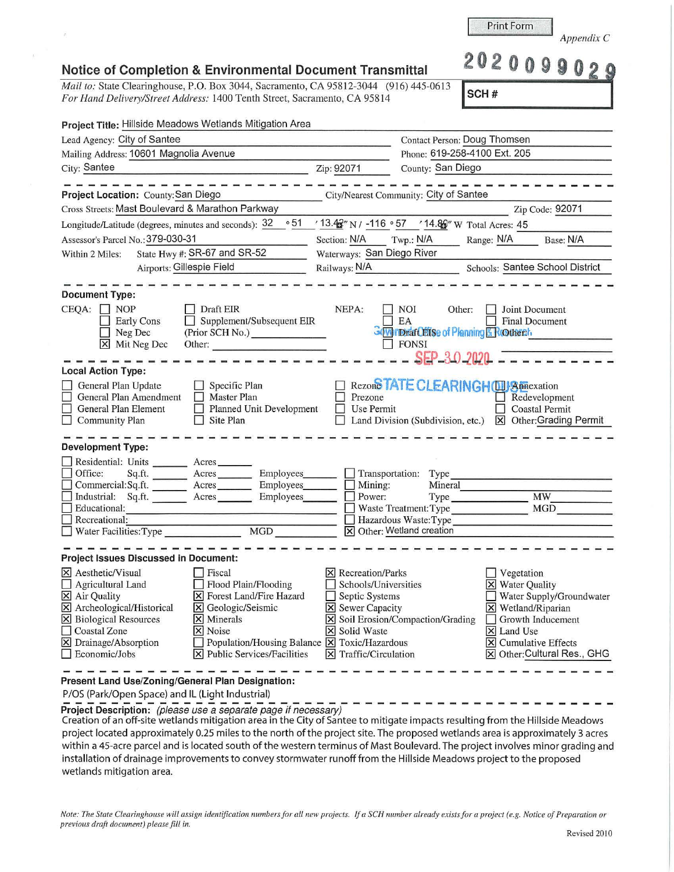*Note: The State Clearinghouse will assign identification numbers for all new projects. If a SCH number already exists for a project (e.g. Notice of Preparation or previous draft document) please fill in.*  Revised 2010

| <b>Notice of Completion &amp; Environmental Document Transmittal</b> |  |  |  |  |  |
|----------------------------------------------------------------------|--|--|--|--|--|
|----------------------------------------------------------------------|--|--|--|--|--|

*Mail to: State Clearinghouse, P.O. Box 3044, Sacramento, CA 95812-3044* (916) 445-0613 *For Hand Delivery/Street Address:* 1400 Tenth Street, Sacramento, CA 95814

| Project Title: Hillside Meadows Wetlands Mitigation Area                                                                                                                                                                                                                                                                                                                                                                       |                                                                                                                                                   |                                                                                 |                                                                                                                                       |                                                                              |  |
|--------------------------------------------------------------------------------------------------------------------------------------------------------------------------------------------------------------------------------------------------------------------------------------------------------------------------------------------------------------------------------------------------------------------------------|---------------------------------------------------------------------------------------------------------------------------------------------------|---------------------------------------------------------------------------------|---------------------------------------------------------------------------------------------------------------------------------------|------------------------------------------------------------------------------|--|
| Lead Agency: City of Santee                                                                                                                                                                                                                                                                                                                                                                                                    | Contact Person: Doug Thomsen                                                                                                                      |                                                                                 |                                                                                                                                       |                                                                              |  |
| Mailing Address: 10601 Magnolia Avenue                                                                                                                                                                                                                                                                                                                                                                                         |                                                                                                                                                   |                                                                                 | Phone: 619-258-4100 Ext. 205                                                                                                          |                                                                              |  |
| City: Santee                                                                                                                                                                                                                                                                                                                                                                                                                   | Zip: 92071                                                                                                                                        | County: San Diego                                                               |                                                                                                                                       |                                                                              |  |
| Project Location: County: San Diego                                                                                                                                                                                                                                                                                                                                                                                            |                                                                                                                                                   | City/Nearest Community: City of Santee                                          |                                                                                                                                       |                                                                              |  |
| Cross Streets: Mast Boulevard & Marathon Parkway                                                                                                                                                                                                                                                                                                                                                                               |                                                                                                                                                   |                                                                                 |                                                                                                                                       | Zip Code: 92071                                                              |  |
| $^{\circ}51$<br>Longitude/Latitude (degrees, minutes and seconds): 32                                                                                                                                                                                                                                                                                                                                                          |                                                                                                                                                   | / 13.4 y N / -116 ° 57 / 14.8 y W Total Acres: 45                               |                                                                                                                                       |                                                                              |  |
| Assessor's Parcel No.: 379-030-31                                                                                                                                                                                                                                                                                                                                                                                              | Section: N/A                                                                                                                                      | Twp.: N/A                                                                       | Range: N/A                                                                                                                            | Base: N/A                                                                    |  |
| State Hwy #: SR-67 and SR-52<br>Within 2 Miles:                                                                                                                                                                                                                                                                                                                                                                                | Waterways: San Diego River                                                                                                                        |                                                                                 |                                                                                                                                       |                                                                              |  |
| Airports: Gillespie Field                                                                                                                                                                                                                                                                                                                                                                                                      | Railways: N/A Schools: Santee School District                                                                                                     |                                                                                 |                                                                                                                                       |                                                                              |  |
| <b>Document Type:</b><br>$CEQA: \Box NP$<br>Draft EIR<br>Supplement/Subsequent EIR<br><b>Early Cons</b><br>Neg Dec<br>(Prior SCH No.) ______________<br>$\overline{\mathsf{X}}$ Mit Neg Dec<br>Other:                                                                                                                                                                                                                          | NEPA:                                                                                                                                             | NOI<br>Other:<br>EA<br>Governmar Cellse of Planning & Rootherth<br>$\Box$ FONSI | Joint Document<br><b>Final Document</b>                                                                                               |                                                                              |  |
| <b>Local Action Type:</b><br>General Plan Update<br>Specific Plan                                                                                                                                                                                                                                                                                                                                                              |                                                                                                                                                   | SEP 30 2020<br>□ Rezon <sup>STATE</sup> CLEARINGHOUS pmexation                  |                                                                                                                                       |                                                                              |  |
| General Plan Amendment<br>Master Plan<br>General Plan Element<br>$\Box$ Planned Unit Development<br>Site Plan<br><b>Community Plan</b>                                                                                                                                                                                                                                                                                         | Prezone<br>Use Permit                                                                                                                             | Land Division (Subdivision, etc.)                                               |                                                                                                                                       | Redevelopment<br><b>Coastal Permit</b><br>X Other: Grading Permit            |  |
| <b>Development Type:</b><br>Residential: Units ________ Acres_<br>Office:<br>Employees_<br>Employees<br>Industrial: Sq.ft. Acres Employees<br>  Educational:<br>$\Box$ Recreational:                                                                                                                                                                                                                                           | Transportation:<br>Mining:<br>Power:                                                                                                              | Type<br>Mineral<br>Waste Treatment: Type<br>Hazardous Waste: Type               | Type                                                                                                                                  | <b>MW</b><br>MGD                                                             |  |
| MGD<br>$\Box$ Water Facilities: Type                                                                                                                                                                                                                                                                                                                                                                                           |                                                                                                                                                   | X Other: Wetland creation                                                       |                                                                                                                                       |                                                                              |  |
| Project Issues Discussed in Document:                                                                                                                                                                                                                                                                                                                                                                                          |                                                                                                                                                   |                                                                                 |                                                                                                                                       |                                                                              |  |
| $ \mathsf{X} $ Aesthetic/Visual<br>Fiscal<br>Flood Plain/Flooding<br>Agricultural Land<br>X Forest Land/Fire Hazard<br>X Air Quality<br>X Archeological/Historical<br>X Geologic/Seismic<br><b>X</b> Biological Resources<br>$\times$ Minerals<br><b>Coastal Zone</b><br>$\times$ Noise<br>X Drainage/Absorption<br>Population/Housing Balance X Toxic/Hazardous<br>$ \mathsf{X} $ Public Services/Facilities<br>Economic/Jobs | $\boxtimes$ Recreation/Parks<br>Schools/Universities<br>Septic Systems<br>X Sewer Capacity<br>X Solid Waste<br>$ \mathsf{X} $ Traffic/Circulation | Soil Erosion/Compaction/Grading                                                 | Vegetation<br><b>X</b> Water Quality<br>X Wetland/Riparian<br>$\overline{\mathsf{x}}$ Land Use<br>$\triangleright$ Cumulative Effects | Water Supply/Groundwater<br>Growth Inducement<br>X Other: Cultural Res., GHG |  |

**Present Land Use/Zoning/General Plan Designation:** 

P/OS (Park/Open Space) and IL (Light Industrial)

**Project Description:** *(please use a separate page if necessary)* 

Creation of an off-site wetlands mitigation a rea in the City of Santee to mitigate impacts resulting from the Hillside Meadows project located approximately 0.25 miles to the north of the project site. The proposed wetlands area is approximately 3 acres within a 45-acre parcel and is located south of the western terminus of Mast Boulevard. The project involves minor grading and installation of drainage improvements to convey stormwater runoff from the Hillside Meadows project to the proposed wetlands mitigation area.

*Appendix* C

Notice of Completion & Environmental Document Transmittal **202009902** 

Print Form